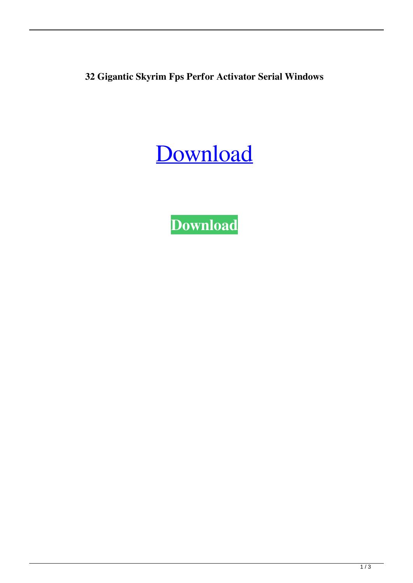**32 Gigantic Skyrim Fps Perfor Activator Serial Windows**

[Download](http://evacdir.com/nexus/hvac.ZG93bmxvYWR8NURjTW5sdU1ueDhNVFkxTWpjME1EZzJObng4TWpVM05IeDhLRTBwSUhKbFlXUXRZbXh2WnlCYlJtRnpkQ0JIUlU1ZA/stovepipe/fibers.R2lnYW50aWMgU2t5cmltIEZwcyBQZXJmb3JtYW5jZSBQYXRjaAR2l)

**[Download](http://evacdir.com/nexus/hvac.ZG93bmxvYWR8NURjTW5sdU1ueDhNVFkxTWpjME1EZzJObng4TWpVM05IeDhLRTBwSUhKbFlXUXRZbXh2WnlCYlJtRnpkQ0JIUlU1ZA/stovepipe/fibers.R2lnYW50aWMgU2t5cmltIEZwcyBQZXJmb3JtYW5jZSBQYXRjaAR2l)**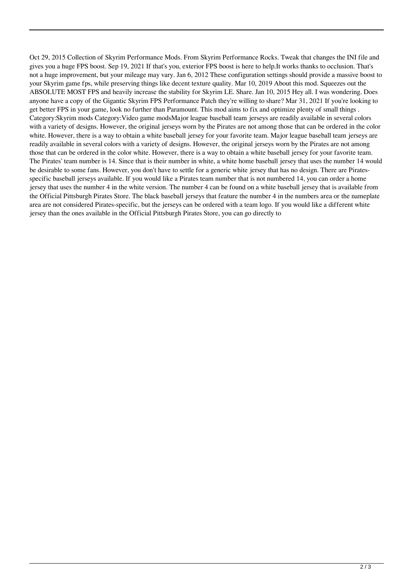Oct 29, 2015 Collection of Skyrim Performance Mods. From Skyrim Performance Rocks. Tweak that changes the INI file and gives you a huge FPS boost. Sep 19, 2021 If that's you, exterior FPS boost is here to help.It works thanks to occlusion. That's not a huge improvement, but your mileage may vary. Jan 6, 2012 These configuration settings should provide a massive boost to your Skyrim game fps, while preserving things like decent texture quality. Mar 10, 2019 About this mod. Squeezes out the ABSOLUTE MOST FPS and heavily increase the stability for Skyrim LE. Share. Jan 10, 2015 Hey all. I was wondering. Does anyone have a copy of the Gigantic Skyrim FPS Performance Patch they're willing to share? Mar 31, 2021 If you're looking to get better FPS in your game, look no further than Paramount. This mod aims to fix and optimize plenty of small things . Category:Skyrim mods Category:Video game modsMajor league baseball team jerseys are readily available in several colors with a variety of designs. However, the original jerseys worn by the Pirates are not among those that can be ordered in the color white. However, there is a way to obtain a white baseball jersey for your favorite team. Major league baseball team jerseys are readily available in several colors with a variety of designs. However, the original jerseys worn by the Pirates are not among those that can be ordered in the color white. However, there is a way to obtain a white baseball jersey for your favorite team. The Pirates' team number is 14. Since that is their number in white, a white home baseball jersey that uses the number 14 would be desirable to some fans. However, you don't have to settle for a generic white jersey that has no design. There are Piratesspecific baseball jerseys available. If you would like a Pirates team number that is not numbered 14, you can order a home jersey that uses the number 4 in the white version. The number 4 can be found on a white baseball jersey that is available from the Official Pittsburgh Pirates Store. The black baseball jerseys that feature the number 4 in the numbers area or the nameplate area are not considered Pirates-specific, but the jerseys can be ordered with a team logo. If you would like a different white jersey than the ones available in the Official Pittsburgh Pirates Store, you can go directly to